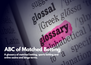## **ABC of Matched Betting**

**A glossary of matched betting, sports betting and online casino and bingo terms.**

www.oddsmonkey.com P.M. Com P.M. Com P.M. Com P.M. Com P.M. Com P.M. Com P.M. Com P.M. Com P.M. Com P.M. Com P.M. Com P.M. Com P.M. Com P.M. Com P.M. Com P.M. Com P.M. Com P.M. Com P.M. Com P.M. Com P.M. Com P.M. Com P.M.

ossa, glós

nabet1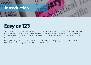

## **Easy as 123**

Welcome to OddsMonkey's ABC of matched betting. This glossary gathers some of the most common words and terms you'll come across in the world of matched betting. We've tried to make this list as comprehensive as possible, but if there's anything missing that you think should be in there, just let us know and we'll add it in!

In this glossary you'll find terms, abbreviations, acronyms and everything else associated with sports betting, matched betting, online casinos and OddsMonkey.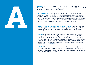

bookmaker and at least one betting exchange. OddsMonkey's OddsMatcher tool currently lists odds from 90+ bookmakers.

**Accumulator (Acca):** Put simply, an accumulator is a cumulative bet that combines more than one selection into a single wager that only counts as a win when all parts win. The advantage of this type of bet is that winnings are potentially much higher than they would be from a single bet. However, there is an increased risk as if just one selection loses, the entire bet will lose. You can mitigate this risk to varying degrees with OddsMonkey's AccaMatcher.

**Advantage gambling (also known as 'advantage play'):** Advantage gambling refers to legal methods used to gain an advantage while gambling. The term usually refers to house-banked games, but can also refer to games played against other players, such as poker.

**Affiliate:** An affiliate marketer is someone who makes money online in return for helping a business by promoting their product, service or site. OddsMonkey runs an Affiliate Programme which allows members to earn a percentage of the subscription fee of anyone that signs up to OddsMonkey Premium via their individual link. If you're passionate about OddsMonkey and how we can help members earn a sustainable tax-free and risk-free income, you could be an affiliate. [Click here to find out more.](https://www.oddsmonkey.com/AffiliateProgramme.aspx)

**Ante Post:** This is where bookmakers release odds days (or weeks) ahead of the event. Commonly used in horse racing, it applies mainly to the bigger race meeting, where bets are placed before the overnight declaration stage (usually 10am on the day before the race).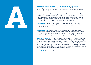

with wagers which include conditional bets. For example, if part of the wager produces a sufficient return then a (predetermined) amount may be wagered or reinvested on a subsequent bet.

**Arber:** A punter who locks in or guarantees profit by exploiting price differences in a market. OddsMonkey advises against arbitrage betting because it is not matched betting and could lead to your accounts being investigated or even restricted by bookmakers. Ultimately, fewer accounts will mean that you will struggle to achieve the higher levels of matched betting profits.

**Arbitrage/Arb:** A trading technique that uses the differences between bookmakers' prices, odds or opinions on event outcomes to make an instant and guaranteed profit.

**Assisted Betting:** Websites or software packages which usually provide comparison tables of markets for individuals to bet on and a matched betting calculator. They are commonly known as 'auto-matchers' and are usually used by individuals who have a good understanding of matched betting.

**Automatic Betting:** Automatic websites or software packages usually aimed at individuals with little or no experience in matched betting. They automatically scan the market, calculate the right bet to minimise the initial loss and maximise the return on the free bet. The system then provides the individual with instructions on how to place the bets to generate a profit. These websites usually filter out offers where there is a mathematical chance of making a loss to ensure users can't bet on offers where they could lose money.

**Availability:** (see Liquidity)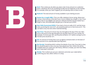

(team, individual, etc) to do something (usually win but depends on the market). For example, when you 'back' England, you are placing a bet on them to win.

**Bankroll:** The total amount of money available in your betting account.

**Beaten by a Length (BBL):** This is an offer relating to horse racing, where your money is returned (as a free bet) if your horse is beaten by a length or less. If you place a bet on any eligible race and your selection finishes second, beaten by a length or less, the bookmaker will give you a free bet up to £/€25.

**Best Odds Guaranteed (BOG):** If you back a horse at odds of 4/1 and the horse ends up winning the race at 6/1, you would be paid out on that horse at 6/1. This can lead to very nice wins when matched betting.

**Best Price:** The price of a horse may vary throughout the day of the race. Best price is the price on the day that gives you the best return for your money. For example, if a horse was 10/1, but the price drifted to 12/1 before coming in at 9/1, the best price would be 12/1.

**Bet:** An amount of money that is put up against someone else's on the basis of the outcome of an unpredictable sporting event.

**Bet Receipt:** Something which outlines the details of your bet. If you bet in-shop, this should be given to you once you have placed your bet. Online, this will be available when you check your bet history. Without a receipt, your bet most likely won't have been confirmed.

**Betslip:** This is where you put your selections and enter your stake before confirming your bet, either online or in-shop.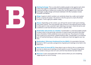

rather than against a bookmaker. A betting exchange is an essential part of matched betting as it allows you to place your lay bet (against your back bet). Exchanges usually charge commission (between 2%-5%). Examples include Smarkets and Betfair.

**Bingo:** A game in which numbers are randomly drawn by a caller and marked off on a card by the player. The winner is the first person to mark off all their numbers. Time to get your dabber ready...

**Bonus:** Depending on the context, you will see this word in both sports betting and online casinos. The most popular type of bonus is the welcome bonus which is often given to new customers upon opening an account. Check the terms and conditions to see how the bonus is used in a specific offer.

**Bookmaker (also known as a bookie):** A bookmaker is a site that enables people to place a bet on the particular outcome of a sports event and which then pays out to the bettor if their prediction turns out to be true. The amount of money that is paid out to the winner is determined by odds. A bookmaker is an essential part of matched betting as it allows you to place your back bet (against your lay bet).

**Bookmakers' Afternoon Greyhound Service (BAGS):** An association that was formed in 1967 to provide a programme of greyhound meetings to be held in the afternoon.

**Both Teams To Score (BTTS):** Does what it says on the tin: this is a market you can bet on where you're betting on both teams to score! The great thing about this market is that your bet isn't over until the final whistle has been blown.

**Bust Out:** A term associated with online casinos where you are completing wagering and run out of money.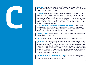

including the odds calculator which allows you to check how big your profit or loss will be on a qualifying or free bet.

**Cash Out:** This is an option offered by some bookmakers which allows you to settle your bet before the market/event you bet on has been completed. The benefit to cashing out is that you can secure a profit or minimise your losses if your selection is doing well or badly. The bet will be settled at the cash out price, which is different to the original price you took. The cash out price is calculated using a formula relating to the price at the time of the bet and the price at the time of the request to cash out.

**Casino (also known as virtual casinos or Internet casinos):** Online casinos enable customers to play and wager on casino games through the Internet. Though not straight matched betting, low-risk or risk-free casino offers can be added to your overall strategy to boost your income further.

**Channel 4 Racing:** The name given to the horse racing coverage on the television station Channel 4 in the UK.

**Chasing:** Betting on things you normally wouldn't in order to recover losses.

**Commission:** Betting exchanges charge commission for the use of their service. The two main exchanges OddsMonkey advises members to use are Betfair and Smarkets. Both have pros and cons: Betfair is the most popular exchange and as a result, has the most liquidity in the market. However, they charge 5% commission. Smarkets charge only 2% commission, but have less users so the chances of your bets being matched are slightly less. For all our beginners offers we advise using Betfair, however, once you are more confident, Smarkets is a good choice due to the lower commission rates charged.

**Conditional Bet (also known as Any to Come):** A bet that requires an initial wager to produce a big enough return that will then allow a predefined amount to be further wagered on one or more selections.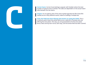

number of typical scores is limited. The odds are dependent on the actual match odds between the two teams.

**Coupon:** An at-a-glance view of the same market (typically the Win-Draw-Win market) across many different events, ideal for building a multiple bet.

**Cover the Field (see Extra Places)( also known as Laying the Field):** This is a method used to back the whole field across a selection of bookies who are offering the extra place. This way, you are guaranteed to hit the extra place bonus. Back and lay each horse, each way, until the whole field has been covered.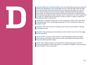

odds to be displayed on your bookmaker account. Decimal odds show the odds as a decimal (e.g. 4.00) and include both your stake and winnings. Your returns are easily calculated in this format, by simply multiplying the decimal odds by your stake. For example, £10 at odds of 4.00, returns you (£10 x 4.00) £40. Both the betting exchange and odds calculator work in decimal form, which means that in order to compare like for like when it comes to odds, it's easier to switch the bookmaker odds to decimal too.

**Dead Heat:** A situation where two or more competitors finish at the same time/ completely tied. This is something usually seen in horse racing and is also very popular in golf.

**Deposit:** This is the amount of money you put into your bookmaker or betting exchange account.

**Double:** A bet consisting of two selections, both of which must win for the wager to be successful.

**Draw No Bet:** A sports market similar to matched betting, where the stake is returned to you if neither team wins an event, essentially removing the 'draw' from the Win-Draw-Win market.

**Drift:** This is where the price of one selection increases because of a lack of interest from bettors. When the odds on a competitor "lengthen", they are said to have "drifted" or be "on the drift".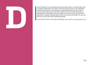

a number of selections in an event, so that the same amount is won regardless of which selection wins. The technique is useful when there are two or more outcomes you wish to back and have a specific amount to stake. Dutching is a betting term for backing all of the outcomes in an event and can be used as an alternative to laying, meaning that you don't have to pay commission on your lay bet as you won't have used a betting exchange.

If you'd like to find out more about Dutching, [we've written a handy guide for you.](http://www.oddsmonkey.com/training/ViewGuide.aspx?guideId=145 )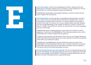

takes place on the place market only. For example, a horse showing at 8 / 8.5 for the win but 3.0 / 2.44 for the place is known as a place arb.

OddsMonkey would always advise against betting on selections where the win price is higher than the lay price.

**Each Way Betting:** An each way bet is essentially two separate bets: one bet is put on the horse to win and the other on the horse to be placed. (For a horse to be placed, it needs to finish in the top 1-4 runners, based on the number of horses in the race). If 16 horses run in a race, usually 4 places are paid. However, this can change depending on the number of horses in a race (2-4 runners: 1st only, 5-7 runners: 1st and 2nd, 8+ runners 1st, 2nd and 3rd, 16+ runner handicaps 1st, 2nd, 3rd and 4th).

OddsMonkey advises avoiding betting on races where the number of runners appears in a red box on the OddsMatcher. This is because anymore non-runners would affect the number of places that are paid out.

To place an each way bet, you will need to check a box on your betslip. Doing this means that half of your total stake is put on your selection to win the race and the other half on your selection to place.

OddsMonkey's EachWayMatcher quickly analyses the each way prices from bookmakers to find the potential value for you. It's great if you want to cover the whole field and really comes into its own when extra place races are offered. It can also be used on restricted bookmaker accounts.

**Each Way Matching (see Each Way Betting):** This is the matched betting version of each way betting. The opposing markets to the ones you placed your two back bets on are available to lay in Betfair. Therefore you can lay off both the win and place of the bet, meaning that you can guarantee profit.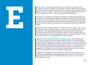

advance of racecourse betting. The prices are sometimes offered the day before but are usually announced on the day of the race. Early prices are fixed if you take them but may be subject to a Rule 4 in the case of any withdrawals. If your early price selection does not run, your stake will normally be refunded.

**Emulator:** In computing, an emulator is hardware or software that enables one computer system (the host) to behave like another computer system (the guest). In this case, you can install an add-on via Chrome, for example, which allows you to log into your bookmaker account as if from your phone, but on your computer. Then, any bets you place via the emulator on desktop will qualify for mobile-only offers.

**Enhanced Odds:** Enhanced odds are a variation of free bet sign up offers, where bookmakers offer a significant price (or odds) boost on a sporting event to new customers. These generous giveaways are a marketing tool often offered by the bookie as a quick way to encourage new sign-ups - fast. Enhanced odds are usually centered around the biggest sports events of the day or weekend. As with any offer, make sure you check the T&Cs of enhanced odds.

**Expected Value (EV) (also known as Estimated Value):** The Expected Value of a bet is possibly the most valuable calculation a bettor can make and shows how much (on average) they can expect to win per bet. The concept of expected value is used to evaluate which option you should choose to maximise profits and minimise losses and shows what you can expect to win or lose if you were to bet on the same outcome many times with the same stake. It is a positive (+EV) or negative (-EV) indicator that should help you make the best decision on what to bet on. The concept can be used in all online casino games.

Multiply your probability of winning by the amount you could win per bet and subtract the probability of losing multiplied by the amount you stand to lose per bet: (Amount Won per Bet x Probability of Winning) – (Amount Lost per Bet x Probability of Losing)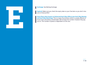

**Expired:** Make sure you check the expiry date on your free bets so you don't miss out on those profits!

**Extra Place (also known as Enhanced Each Way Offers) (see Each Way Betting and Each Way Matching):** This is a type of promotion which is usually offered on horse races and where a bookmaker will increase the number of places they pay out on. The number of places is dependent on the race.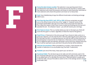considered the most likely to win. The Favourite has the shortest or lowest odds. Two selections who share this position are known as 'joint favourites' and three or more selections who share this position are known as 'co-favourites'.

**Feed:** How OddsMonkey brings the different bookmaker and betting exchange odds to you.

**Favourite (also knwon as Jolly):** The selection in any sporting event that is considered the most likely to win. The Favourite has the shortest or lowest two selections who share this position are known as 'co-favourites' First Past the Post (FPTP, 1stP, 1PTP or FPP): All horse racing bets are paid out on the official result at the time of the "weigh in". However, some of the prominent bookmakers also pay out on bets if your horse was First Past the Post. What this means is that if your horse crosses the finishing line first but isn't awarded the win - for whatever reason - you will still receive your winnings.

**First Team to Score:** This is a market where you bet on the team you think will score the first goal in a match, regardless of what the result of the game is.

**Fixed Prices:** A fixed price is the price you get if you choose to take a price on a particular selection. On the internet this is done by selecting the price rather than the Starting Price (SP). In a betting shop you can ask the staff to write the price on the betting slip to have the bet at a fixed price. Otherwise it will be settled at the SP. For telephone bets the operator will quote a price and if you request that price then it will be read back to you and that is the price the bet will be settled at.

**Fold (see Accumulator):** When preceded by a number, a fold indicates the number of selections in an accumulator (e.g. five-fold= 5 selections).

**Football:** Just one of the many, many sports you can bet on!

ww.oddsmonkey.com P. 14 and P. 16 and P. 16 and P. 16 and P. 16 and P. 16 and P. 16 and P. 16 and P. 14 and P. 14 **Fractional Odds:** The old-skool way to list odds and still commonly used in the UK. Fractional odds give you your profit excluding your stake, so your stake needs to be added back on to calculate the total return. Matched bettors usually work in decimal odds, and you'll be able to switch to this in the settings section of most bookmaker sites.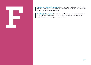

matched bettor, as it's where the profits are extracted from. Free bets are offered to both new and existing customers.

**Free Play (or Free Spins):** Associated with online casinos, free play is where you receive an offer to play a game, or spin the wheels on a slot machine, without **having to use money from your real cash balance.**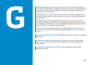

The outcome of the game is usually down to chance, so there is no guarantee that you will win. In fact, when gambling, you might leave with less money than you started with or nothing at all.

Gambling comes in many forms and can be done on or offline: betting on sports or events, casino games, lotteries, bingo, scratchcards, or card games (like poker and blackjack).

Although it's not a bad thing, gambling can be risky and can result in a loss of money. At OddsMonkey, we don't encourage gambling. Matched betting is a way of mitigating or eliminating the risks associated with gambling to ensure that you receive a profit, or at least don't lose anything.

If you do choose to gamble, remember to make responsible choices and never chase losses. If you're worried about a gambling problem, [please seek help and](http://www.whenthefunstops.co.uk/)  [advice.](http://www.whenthefunstops.co.uk/)

**Gnoming (see Multi-Accounting):** OddsMonkey does not condone or encourage gnoming.

**Goalscorer:** There are a few goalscorer markets you can bet on, like Anytime, First and Last. The promotion on offer depends varies according to individual bookmakers.

**Guaranteed Profit (see Lock In Profit):** Matched betting is a great way to guarantee a profit.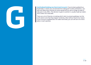

bookmaker, it means you are banned from taking part in their promotions - you will most likely have received an email saying that you will no longer be able to take part in any offers. The decision to gub a customer is usually made by traders and is often non-reversible.

There are a lot of theories circulating which claim to prevent gubbings, but the truth seems to be that they happen randomly, often without rhyme nor reason. If your account is gubbed (but not stake restricted), you can still use it for extra place or each way bets.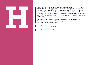

a more attractive betting proposition. In football betting, teams are awarded a number of points depending on their skill (also known as the "pointspread" or "line"). An advantage for one of the sides is given beforehand and applied to the final result of the game. In horse racing, a handicap race is one in which horses carry different weights. A better horse will carry a heavier weight in order to make the race fairer.

Two of the main handicaps you will come across in football are Asian and European. With an Asian Handicap, draws get refunded, whereas they are possible in European Handicapping.

**Home Team:** The team playing in its own town or stadium.

**Horse Racing:** Just one of the many, many sports you can bet on!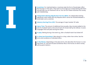**I Incentives:** For matched bettors, incentives take the form of bookmaker offers like free bets or free spins. They want to encourage you to keep betting with them and will offer you an incentive to do so. You can turn these incentives into money with OddsMonkey.

**Independent Betting Adjudication Service (IBAS):** An independent betting adjudicator which deals with any disputes which cannot be resolved between a bookmaker and a customer.

**Industry Starting Price (ISP):** The average of major bookies' SP odds.

**Injury Time:** The amount of additional time (usually a few minutes) added to the end of a football match at the end of each 45 minute half by the referee. It covers stoppages that took place during the match.

**In-play:** Betting during a live event e.g. after a football match has kicked-off.

**In-shop (see Emmulator):** Bets placed in a shop, rather than online. See the terms and conditions of individual offers.

**In the Money:** Depending on the place terms, this describes the horses in a race that finish 1st, 2nd and 3rd (and sometimes 4th) or the horses on which money will be paid to bettors.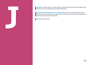

**Jackpot:** A cash prize in a casino game or lottery that may have accumulated over time so that it is a large amount when finally won.

**Joint Favourites (jt-fav) (see Favourite):** When two or more horses share the shortest price at the start of a race. Bets on the favourite will have the stake split:  $\blacksquare$  half on each of the two favourites.

**Jolly:** (see Favourite).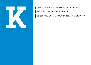

**Kick Off (KO):** Usually football - the start of the match.

**Knockout (KO):** Can either refer to the act of knocking someone out in a boxing match or a tournament in which the loser of each round is eliminated.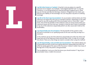

outcome not to happen. For example, "I bet England will NOT win" is a lay bet. Therefore, in normal gambling (not matched betting) if England lose or draw, you win the bet and take the winnings. However, if England win the match, you will lose your liability on the exchange. You can only place a lay bet on a betting exchange.

**Lay All at the Start (see Accumulator):** An accumulator method where all of the selections are layed off at the start as standard matches. Depending on the odds you go for, you will usually profit if the accumulator wins or more than 1 team loses. One of the key benefits of this method is that you know exactly what your maximum losses are from the start. Another is that you don't have to remember to lay any of the selections sequentially (which can also cause alarm bells at the bookmaker).

**Lay Sequentially (see Accumulator):** The key benefit of this system is that we have an estimate to our qualifying losses at the start and they are kept to a minimum.

In this method, we lay all of the selections sequentially (one after the other) and hope that one of the selections loses and the other 4 win, in order for us to get the refund. There are a few things we need to consider when using this method:

**Lay All Sequentially: Lock In Profit (see Accumulator):** This method allows you to guarantee yourself a profit from laying selections sequentially (one after the other) by laying against the value of the insurance. It doesn't matter how many of the legs win or lose, the profit is still guaranteed.

The AccaMatcher is set up so that the bonus you should receive if 1 leg of your accumulator loses, is taken into account.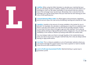

bet, you will always be given a liability. Liability is the amount we will need in our exchange to cover our lay stake, essentially it is the amount that you stand to lose in the exchange if your lay bet loses. Remember, this is only lost from the exchange, your lay bet losing means that your back bet has won leaving you with only a small qualifying loss.

**Licensed Betting Office (LBO):** An official agency that possesses a legislative permit and acts upon the rules set by the Betting, Gaming and Lotteries Act 1963.

**Liquidity:** Liquidity is the amount of money available in the market for you to bet with. For example, the calculator is advising you to lay £10 on a selection, but there is only £8 in the market, your bet will only be partially matched. If there is more than £10 then there is enough to get your bet matched. This is why we always advise sticking to high profile sports events, leagues etc. You can check the availability in the market on Betfair by looking underneath the market odds.

You must always make sure there is enough liquidity in the market before you enter your bet to ensure your bet gets matched fully, this is why we always advise betting on high profile events.

**Live Chat:** This is a feature available on a lot of bookmaker websites where you can instant message the support team if you have a question or want to double check the terms and conditions of a bet.

**Lock In Profit (see Guaranteed Profit):** Matched betting is a great way to guarantee a profit.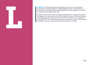

as in a wall, for looking through, for admitting light and air, or, particularly in a fortification, for the discharge of missiles against an enemy outside", or "a means or opportunity of evading a rule, law".

Loopholes can be used to get past wagering requirements in many casino games. As a general rule, most casinos will match a deposit of around 100%, but then give strict wagering requirements of around 50x or more, before you can withdraw the funds. This is not a risk-free way to make money as you can lose. Only attempt a loophole if you are comfortable with the amount that is at stake.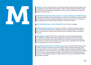

available on every single match, game or event. Popular betting markets include winner (home, draw, away), over/under, correct score, first goalscorer, half-time result and many more.

**Matched Betting (also known as back or lay bet matching or double betting):**  A betting technique used by individuals to profit from the free bets and incentives offered by bookmakers. Matched betting is practically risk-free, as it's based on the application of a mathematical equation, rather than chance.

**Min Stake/Max Lines or Max Stake/Min Lines:** Casino strategies.

**Mobile-Only (see Emulator):** This type of offer can only be used if you bet via your mobile; bets placed via a desktop computer or laptop will not be eligible for this promotion. Always check the terms and conditions before you bet any money.

**Moneyback:** A type of offer from a bookmaker where all losing bets will be refunded if a predetermined event happens in a sporting event. Sometimes customers will receive their initial stake back and other times, they'll receive a free bet to the value of their stake. This is great news, especially when that 89th minute goal just cost you a winning bet.

**Mug Betting (also known as Mug Punting):** Some matched bettors believe that there are ways to prevent account restrictions which imitate the betting styles of mug punters or 'normal' bettors. Strategies include: frequently betting on the same team (to make it look like it's your team), betting on popular events, heading into the casino and placing accumulator bets. Because this is matched betting, you're only wanting to look like a regular punter and so you'll still need to lay off any bets you place.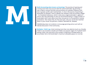

**Multi-Accounting (also known as Gnoming):** The practise of opening and running more than one account with the same bookmaker. By gnoming, a user is able to receive free bets and promotions at a greater frequency and lock running more than one account with the same bookmaker. By gnoming, a user is able to receive free bets and promotions at a greater frequency and lock in greater profits with matched bets. In short: the practise of gnoming is absolutely not allowed. There is debate over whether multi-accounting is illegal – it is fraudulent behaviour, which is why every single bookmaker is against it and it's also why absolutely no site can recommend doing it. A large number of bookmakers don't even allow more than one person in a household to receive promotions. This means that, for the most part, only you can be the matched bettor in your house. No partners, children, flatmates etc. allowed.

OddsMonkey does not condone or encourage gnoming and as such will not tolerate discussion in the Community.

**Multiples / Multi Leg:** A bet involving more than one selection (such as a Double, Treble or Accumulator). Double and trebles are popular wagers for football match betting. Often, the only limit to the number of selections included within an accumulator bet is the bookmaker's maximum allowable payout on one bet.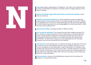

racing correspondents and tipsters nominate as their strongest selection of the day or meeting.

**National Football League (NFL) (also known as American Football):** A sport that can be bet on.

**Neteller (see Payment Options):** An online payment provider (e-wallet) that allows payments and money transfers to be made through the Internet. Neteller is accepted by most of the main online bookmakers but be aware that depositing via this method may result in you not being eligible for certain promotions. Check the terms and conditions first.

**New Account Offers:** (see Sign Up Offer or Welcome Offer).

**No Lay (see Accumulator):** This method may look like straight punting but it's not, as there is a bonus attached to the bet, which gives it a positive expected value. The key benefit of using the no lay method are that you don't have to sit waiting for matches to finish, you can check back after the matches have all finished. The downside is that you can also potentially lose our full stake. However, over time you will profit from this method.

**Non-Runner:** In horseracing, this is a selection that does not take part in the race or event for which it was entered. How your bet is handled in the case of a nonrunner will depend on the bookmaker or type of bet placed. For example, some bookies will void your bet and refund your stake. If another selection in an event you have bet on becomes a non-runner, then prices for the remaining selections may need to be reduced to reflect their chances of winning an event. Please see Rule 4 for more information.

**Normal mode:** A mode on the OddsMonkey calculator which calculates the profits of a normal bet (not free).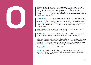

meaning that should the bet win, for every unit staked, you would receive 10 in return (plus the original stake back). 'Evens' means even money e.g. winnings would be exactly the same as the stake (plus your stake back), whereas a shorter odds price such as 1/2 indicates that for every £2 you stake, a successful outcome would result in a £1 profit.

**OddsMatcher:** The cornerstone of OddsMonkey and the UK's original piece of matched betting software. This essential tool compares over 90 bookmakers with 4 betting exchanges, finding the best odds and saving matched bettors heaps of time and effort. Real time information which can be filtered by sport, market, bookmaker or betting exchange to help customers maximise their profit in the minimum time.

**Odds Matching:** What matched bettors do to find the closest and best odds possible in order to extract value and make profits.

**OddsMonkey:** An awesome matched betting website which provides fantastic tools, exceptional expertise and first rate customer service and support.

**Offer (see Free Bet or Promotion):** A bookmaker promotion that can take many forms and is available to matched bettors at all levels. For example, welcome or sign up offers are used to encourage new customers to open an account with an online bookmaker. This would look something like this: Bet £10, Get £10.

**Ongoing Offers:** (also known as Reload Offers)

**Opt In:** This is usually an option given to those opening an account with a bookmaker. Tick the box to receive emails containing offers and promotions, otherwise you might miss out!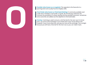

sporting event and usually found at lengthy odds.

**Over/Under (also known as Total Goals Betting):** A commonly available over/ under bet in football is over/under 2.5 goals. By introducing a decimal, this removes the possibility of a draw, leaving only two possible outcomes. Sometimes extra outcomes are added, but this depends on the bookmaker.

**Overlay:** A technique used to ensure a risk free bet for the next race if a horse wins. Lay more at the exchange so you break even if your horse doesn't win. However, if your horse does win, you pay out more at the exchange. This is alright because you will have a free bet for the next race so you can make it back.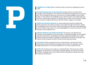

odds.

**Partially Matched (see Unmatched Bet):** Always check to see that there's enough money (liquidity) in the market at the betting exchange when you lay your bet. The exchange will show you the amount of money available to lay at these odds. If it says there's £10 available but you need to lay £15, this means that your lay bet is only partially matched. The easiest way to make sure this doesn't happy is to only bet on high profile events, like the Premier League, for example.

**PayPal (see Payment Options):** An online payment provider (e-wallet) that allows payments and money transfers to be made through the Internet. PayPal is accepted by most of the main online bookmakers but be aware that depositing via this method may result in you not being eligible for certain promotions. Check the terms and conditions first.

**Payment Options (see PayPal and Skrill):** The way you can deposit and withdraw funds depends on the bookmaker or betting exchange. Some accepted payment methods are credit/debit card, Skrill, PayPal and Neteller. Just a little note for when you decide to upgrade to OddsMonkey Premium: we accept card, PayPal and Skrill payments (and a 30 day money-back guarantee).

**Price Boost:** Where a selection's price is improved for a set period of time, bettering the value offered by the original price stated. For example, a horse might be priced at 3/1, but then offered at 4/1 for a short period of time.

**Profit:** The money you can make as a matched bettor. The size of your profit depends on the amount of time spent matched betting, the type and number of offers completed, your size of float and the methods you use (eg: each way matching, dutching, etc)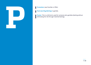

**Punt (see Mug Betting):** A gamble.

**Punter:** This is a (UK) term used for someone who gambles (betting without eliminating the risk through matched betting).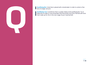

**Qualifying Bet:** A bet that is placed with a bookmaker in order to unlock a free bet of a larger amount.

**Qualifying Loss:** A small loss that is usually made on the qualifying bet. Try to keep this to under £1 and remember that the profits from your free bet will more than make up for this in the next stage of your matched bet.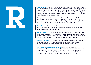

and more profitable with OddsMonkey's RacingMatcher. To speed things up, races with refund offers are pre-filtered with the maximum stake for the bonus clearly highlighted. Selections are automatically filtered for the race. For example, for the Bet365 offer which requires a horse to win at odds over 5.0, the Racing Matcher won't show any selections under 5.0.

RacingMatcher also takes the maximum bonus stake possible and calculates your lay stake and qualifying loss, making it easy to quickly identify a bonus opportunity and compares the three main betting exchanges (Betfair, Smarkets and Betdaq) so that you can guarantee the best possible match.

**Refund:** A type of bookmaker offer where your initial stake is refunded if the bet loses. This can either be refunded as money or as a free bet, so remember to check the terms and conditions first.

**Reload Offers:** Your matched betting journey doesn't begin and end with new account offers. Reload offers are available to existing customers, usually when a qualifying bet is placed. OddsMonkey lists all of these offers in our Daily Offer Calendar and you'll usually see them pop up in the Community, too.

**Request a Bet (RAB):** An innovative market where the customer decides what they want to bet on in a match. Offered by a few bookmakers, you can also choose to accumulate goals, cards or corners into one single bet.

**Restricted (see Gub/Gubbed/Gubbing):** From time-to-time, you may find that you are only limited to the amount that you can stake when betting or are no longer able to take part in promotions. This will be a decision made by the bookmaker and is usually their final word on the subject. Try to look after your accounts - they're probably your most valuable assets as a matched bettor.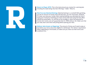

including the stake being returned. Winnings + Stake = Returns.

**Risk-Free (see Matched Betting):** Matched betting in a nutshell! With gambling, you bet an amount of money and if the bet wins, you win more back. However, if it loses, you lose your money. With matched betting, you eliminate the risk of losing your money by matching your back and lay bets and using the free offers offered by bookmakers. As risk-free as the strategy is, when the potential for human error exists, we can't guarantee that it's 100% without risk. Make sure that you read, learn and check everything before placing your bets.

**Rollover (also known as Wagering):** The amount of times you'll need to play or bet before your bonus becomes eligible for withdrawal. The rollover requirement differs depending on the bookie, so make sure you check out their terms and conditions first.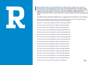

announced in a horse/greyhound race after the final declarations have been made and you have taken a fixed odds price. The final declaration stage is usually 24 hours before the race, although it can be up to 48 hours. Different bookmakers have different reduction factors so you will need to check to determine the new equivalent odds.

The official Tattersalls Rule 4 deductions, as applied by all UK bookies, are as follows:

a) If the current odds of the non-runner are 1/9 or shorter at the time the non-runner withdraws from the race, then 90p in £/E/\$ is deducted (or 90% of winnings)

b) If over 2/11 up to and including 2/17, 85% of winnings deducted

c) If over 1/4 up to and including 1/5, 80% of winnings deducted

d) If over 3/10 up to & including 2/5, 70% of winnings deducted

e) If over 2/5 up to and including 8/15, 65% of winnings deducted

f) If over 8/15 up to and including 8/13, 60% of winnings deducted

g) If over 8/13 up to and including 4/5, 55% of winnings deducted

h) If over 4/5 up to and including 20/21, 50% of winnings deducted i) If over 20/21 up to and including 6/5, 45% of winnings deducted

j) If over 6/5 up to and including 6/4, 40% of winnings deducted

k) If over 6/4 up to and including 7/4, 35% of winnings deducted l) If over 7/4 up to and including 9/4, 30% of winnings deducted m) If over 9/4 up to and including 3/1, 25% of winnings deducted n) If over 3/1 up to and including 4/1, 20% of winnings deducted o) If over 4/1 up to and including 11/2, 15% of winnings deducted p) If over 11/2 up to and including 9/1, 10% of winnings deducted q) If over 9/1 up to and including 14/1, 5% of winnings deducted

 $r$  ) If the non-runner is over 14/1 then there is no deduction  $r$  .  $\bf{25}$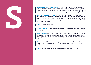

jostling to be noticed, they need some way to encourage customers to sign up with them instead of someone else. This is where the sign up offers come in. They differ from bookie-to-bookie but are usually along the lines of Bet £X, Get £X.

**Skrill (see Payment Options):** An online payment provider (e-wallet) that allows payments and money transfers to be made through the Internet. Skrill is accepted by most of the main online bookmakers but beware that depositing via this method may result in you not being eligible for certain promotions. Check the terms and conditions first.

**Slots:** A type of casino game.

**Sports Betting:** The term given to bets made on sporting events...Yes, it really is  $\blacksquare$  that simple!

**Sports Trading:** This is the backing and laying of sports betting odds for a profit before the event comes to an end. By backing at high odds and laying at short odds, sports traders are able to make money either in-play, or even before kickoff!

**Spreadsheets:** Whether you make your own or use one made by another matched bettor, spreadsheets are a great way to keep track of your bets and profits.

**Stake:** The amount of money bet on a particular selection in a wager.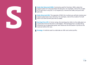

original stake isn't returned when the bet wins. For example, a bet of £5 at odds of 5.0 will return only £20. 5 x £5 equals £25, remove the stake, and you're left with  $f20$ .

**Stake Returned (SR):** The opposite of SNR, this is where you will also receive your original stake back if your bet wins. For example, a bet of £5 at odds of 5.0 will return £25 (the £20 win plus the £5 stake).

**Starting Price (SP):** In horse racing, the starting price refers to the odds given on a particular horse at the time a race begins. The starting price is usually set by consensus by an appointed panel, who observes the fluctuation in prices at the racetrack before the race.

**Strategy:** A method used to undertake an offer and unlock profits.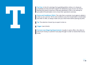

completely tax free and don't need to be declared as part of your tax return. Betting Duty (which stood at 6.75%) was abolished in 2001 in an attempt to persuade UK bookmakers not to move their operations overseas.

**Terms and Conditions (T&Cs):** The rules that a customer must agree to abide in order to use a service. Terms and conditions vary from bookmaker to bookmaker and offer to offer, so always make sure you check them before placing any bets.

**Tip:** The selection chosen by an expert to bet on.

**Trigger:** (see Unlock)

**Turnover (see Wagering Requirement):** Usually in casino offers, this refers to how much money a customer must play through in order to receive their bonus funds.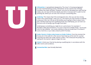

to track matched betting activity. Ultimatcher can be used for lots of things, including a lay stake calculator. However, once you've calculated your back and lay stakes, you can input all the bet details and click on "process bet" to add it to the pending tab, where you can see a list of all your outstanding bets.

**Underlay:** This means that if the exchange bet wins, then you win less money. "How is this a good thing?" I hear you cry...The reason you may choose to underlay is because if you 'win' the bet at the bookies you're going to have to place more bets, thereby enduring more qualifying losses. By underlaying, you can even out the extra cost of having to go through more bets.

Underlaying is something you might do on a price boost. For example, if Ronaldo's odds were boosted to 7 to score a hat-trick at Paddy Power - but he was only 6 to lay at Betfair - you could underlay so that you break even if he doesn't score a hat-trick, or you make a decent profit if he does.

**Under Starter's Orders (also known as Under Orders):** From the moment the horses are in the stalls for a flat race (or have lined up at the start for a jumps race) they are said to be 'under starter's orders'. This is because the jockeys are waiting for the starter's signal to begin the race.

**Unlock:** Unlock your free bet by placing a qualifying bet, in accordance with the offer's terms and conditions.

**Unmatched Bet:** (see Partially Matched).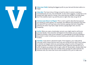

wager.

**Value Bet:** The holy trinity of things to look for when it comes to placing a worthwhile bet are cost, risk and benefit. As the name suggests, a value bet is one packed with high value for money. It be a bet that you wouldn't normally place, but if the statistics back it up and the price is right, then why not go for it?

**Variance (see Return to Player):** This is a term used to describe how payouts are spread on casino games. For example, two different slot machines may have the same RTP but one may have a low variance, paying small wins frequently, whereas the other may have a high variance, paying larger wins, but less frequently.

**Verify:** When you open a bookmaker account, you might need to verify your personal details. How and when will depend on the bookie, but you may be asked to provide a copy of your passport or a photograph of yourself holding a document in order to verify your account before you are able to withdraw any funders.

**Void Bet:** A bet which is declared invalid. If this happens, your stake will be returned, which means that you won't win any money but you won't lose it either. A void bet can happen when you are backing a player to score a first goal but he gets injured in the warm-up and doesn't even make the starting line-up, or when the game you placed a bet on gets called off. Bookmakers usually state that any bet resulting from their own mistake when quoting the odds shall also be declared void, but check their terms and conditions first, just to make sure.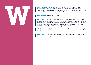

be followed in order to unlock a free bet or withdraw bonus funds from a bookmaker. These may include restrictions on markets, types of bets that may be placed and the maximum value of individual bets.

**Welcome Offer:** (see Sign Up Offer)

**Win-Draw-Win (WDW):** Usually referring to football, WDW refers to the three possible outcomes of a sports fixture (home win, draw and away win). This market is settled in the 90 minutes of play (plus stoppage time if any is added). However, extra time does not count, so if there is a draw at 90 minutes and then a team scores at 125 minutes, the draw from regular time stands.

**Winnings:** The matched betting profits you receive for winning bet (excluding the stake).

**Withdrawn:** The decision to remove a horse from a race before it starts (either before or after coming under starter's orders).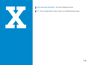

"X": This is usually taken to mean 'a draw' on a football betting coupon.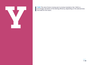

**Yield:** The rate of return money won to money invested or bet. Yield is a percentage calculation of the betting efficiency, depending on the selected bets